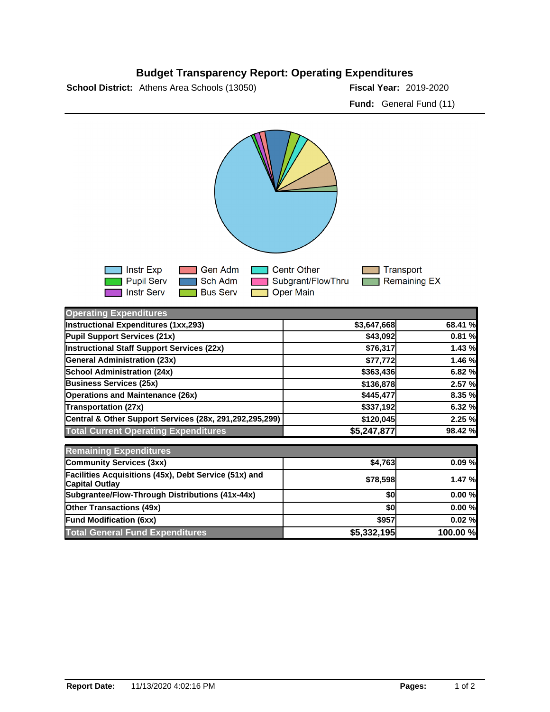## **Budget Transparency Report: Operating Expenditures**

**School District:** Athens Area Schools (13050) **2018-2020 Fiscal Year:** 2019-2020

**Fund:** General Fund (11)



| <b>Operating Expenditures</b>                                                  |             |          |
|--------------------------------------------------------------------------------|-------------|----------|
| <b>Instructional Expenditures (1xx,293)</b>                                    | \$3,647,668 | 68.41 %  |
| Pupil Support Services (21x)                                                   | \$43,092    | 0.81%    |
| Instructional Staff Support Services (22x)                                     | \$76,317    | 1.43%    |
| <b>General Administration (23x)</b>                                            | \$77,772    | 1.46 %   |
| School Administration (24x)                                                    | \$363,436   | 6.82 %   |
| <b>Business Services (25x)</b>                                                 | \$136,878   | 2.57 %   |
| <b>Operations and Maintenance (26x)</b>                                        | \$445,477   | 8.35 %   |
| <b>Transportation (27x)</b>                                                    | \$337,192   | 6.32 %   |
| Central & Other Support Services (28x, 291,292,295,299)                        | \$120,045   | 2.25 %   |
| <b>Total Current Operating Expenditures</b>                                    | \$5,247,877 | 98.42 %  |
| <b>Remaining Expenditures</b>                                                  |             |          |
| Community Services (3xx)                                                       | \$4,763     | 0.09%    |
| Facilities Acquisitions (45x), Debt Service (51x) and<br><b>Capital Outlay</b> | \$78,598    | 1.47 %   |
| Subgrantee/Flow-Through Distributions (41x-44x)                                | \$0         | 0.00%    |
| <b>Other Transactions (49x)</b>                                                | \$0         | 0.00%    |
| <b>Fund Modification (6xx)</b>                                                 | \$957       | 0.02%    |
| <b>Total General Fund Expenditures</b>                                         | \$5,332,195 | 100.00 % |